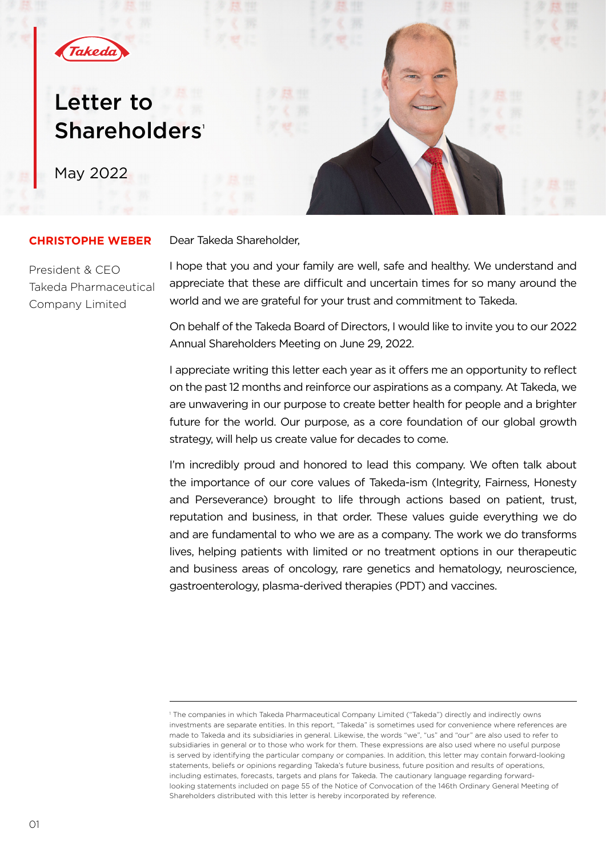

# Letter to Shareholders'

May 2022

# Dear Takeda Shareholder,

# **CHRISTOPHE WEBER**

President & CEO Takeda Pharmaceutical Company Limited

I hope that you and your family are well, safe and healthy. We understand and appreciate that these are difficult and uncertain times for so many around the world and we are grateful for your trust and commitment to Takeda.

On behalf of the Takeda Board of Directors, I would like to invite you to our 2022 Annual Shareholders Meeting on June 29, 2022.

I appreciate writing this letter each year as it offers me an opportunity to reflect on the past 12 months and reinforce our aspirations as a company. At Takeda, we are unwavering in our purpose to create better health for people and a brighter future for the world. Our purpose, as a core foundation of our global growth strategy, will help us create value for decades to come.

I'm incredibly proud and honored to lead this company. We often talk about the importance of our core values of Takeda-ism (Integrity, Fairness, Honesty and Perseverance) brought to life through actions based on patient, trust, reputation and business, in that order. These values guide everything we do and are fundamental to who we are as a company. The work we do transforms lives, helping patients with limited or no treatment options in our therapeutic and business areas of oncology, rare genetics and hematology, neuroscience, gastroenterology, plasma-derived therapies (PDT) and vaccines.

<sup>1</sup> The companies in which Takeda Pharmaceutical Company Limited ("Takeda") directly and indirectly owns investments are separate entities. In this report, "Takeda" is sometimes used for convenience where references are made to Takeda and its subsidiaries in general. Likewise, the words "we", "us" and "our" are also used to refer to subsidiaries in general or to those who work for them. These expressions are also used where no useful purpose is served by identifying the particular company or companies. In addition, this letter may contain forward-looking statements, beliefs or opinions regarding Takeda's future business, future position and results of operations, including estimates, forecasts, targets and plans for Takeda. The cautionary language regarding forwardlooking statements included on page 55 of the Notice of Convocation of the 146th Ordinary General Meeting of Shareholders distributed with this letter is hereby incorporated by reference.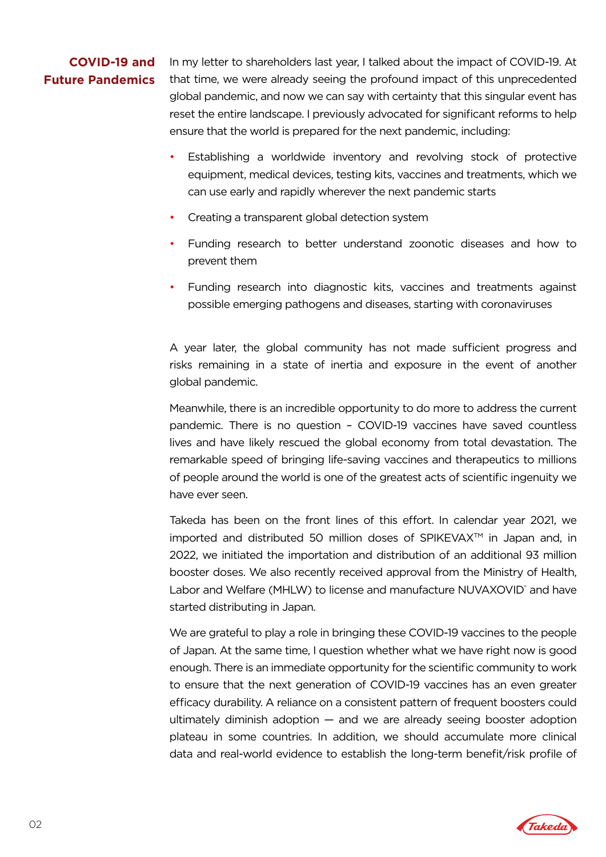# **COVID-19 and Future Pandemics**

In my letter to shareholders last year, I talked about the impact of COVID-19. At that time, we were already seeing the profound impact of this unprecedented global pandemic, and now we can say with certainty that this singular event has reset the entire landscape. I previously advocated for significant reforms to help ensure that the world is prepared for the next pandemic, including:

- Establishing a worldwide inventory and revolving stock of protective equipment, medical devices, testing kits, vaccines and treatments, which we can use early and rapidly wherever the next pandemic starts
- Creating a transparent global detection system
- Funding research to better understand zoonotic diseases and how to prevent them
- Funding research into diagnostic kits, vaccines and treatments against possible emerging pathogens and diseases, starting with coronaviruses

A year later, the global community has not made sufficient progress and risks remaining in a state of inertia and exposure in the event of another global pandemic.

Meanwhile, there is an incredible opportunity to do more to address the current pandemic. There is no question – COVID-19 vaccines have saved countless lives and have likely rescued the global economy from total devastation. The remarkable speed of bringing life-saving vaccines and therapeutics to millions of people around the world is one of the greatest acts of scientific ingenuity we have ever seen.

Takeda has been on the front lines of this effort. In calendar year 2021, we imported and distributed 50 million doses of SPIKEVAX $\mathbb{M}$  in Japan and, in 2022, we initiated the importation and distribution of an additional 93 million booster doses. We also recently received approval from the Ministry of Health, Labor and Welfare (MHLW) to license and manufacture NUVAXOVID<sup>®</sup> and have started distributing in Japan.

We are grateful to play a role in bringing these COVID-19 vaccines to the people of Japan. At the same time, I question whether what we have right now is good enough. There is an immediate opportunity for the scientific community to work to ensure that the next generation of COVID-19 vaccines has an even greater efficacy durability. A reliance on a consistent pattern of frequent boosters could ultimately diminish adoption — and we are already seeing booster adoption plateau in some countries. In addition, we should accumulate more clinical data and real-world evidence to establish the long-term benefit/risk profile of

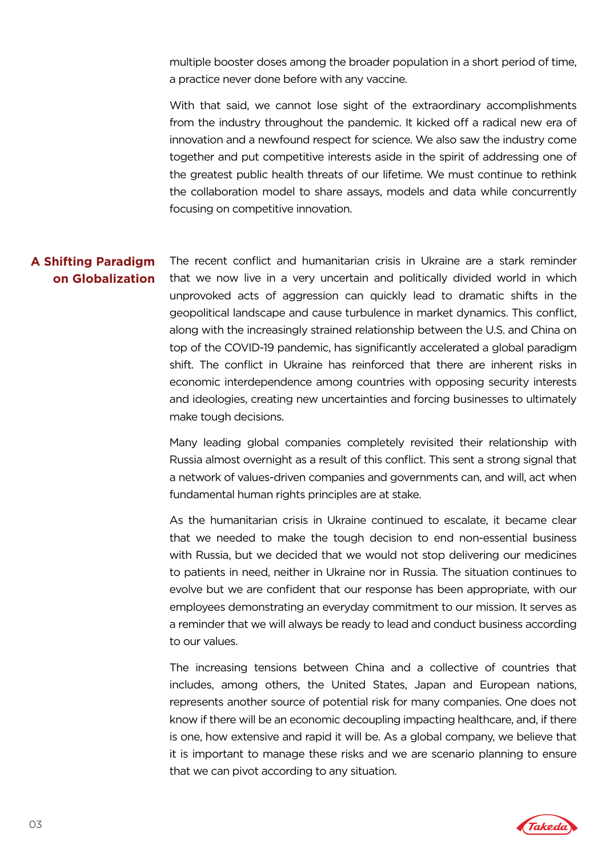multiple booster doses among the broader population in a short period of time, a practice never done before with any vaccine.

With that said, we cannot lose sight of the extraordinary accomplishments from the industry throughout the pandemic. It kicked off a radical new era of innovation and a newfound respect for science. We also saw the industry come together and put competitive interests aside in the spirit of addressing one of the greatest public health threats of our lifetime. We must continue to rethink the collaboration model to share assays, models and data while concurrently focusing on competitive innovation.

## The recent conflict and humanitarian crisis in Ukraine are a stark reminder that we now live in a very uncertain and politically divided world in which unprovoked acts of aggression can quickly lead to dramatic shifts in the geopolitical landscape and cause turbulence in market dynamics. This conflict, along with the increasingly strained relationship between the U.S. and China on top of the COVID-19 pandemic, has significantly accelerated a global paradigm shift. The conflict in Ukraine has reinforced that there are inherent risks in economic interdependence among countries with opposing security interests and ideologies, creating new uncertainties and forcing businesses to ultimately make tough decisions. **A Shifting Paradigm on Globalization**

Many leading global companies completely revisited their relationship with Russia almost overnight as a result of this conflict. This sent a strong signal that a network of values-driven companies and governments can, and will, act when fundamental human rights principles are at stake.

As the humanitarian crisis in Ukraine continued to escalate, it became clear that we needed to make the tough decision to end non-essential business with Russia, but we decided that we would not stop delivering our medicines to patients in need, neither in Ukraine nor in Russia. The situation continues to evolve but we are confident that our response has been appropriate, with our employees demonstrating an everyday commitment to our mission. It serves as a reminder that we will always be ready to lead and conduct business according to our values.

The increasing tensions between China and a collective of countries that includes, among others, the United States, Japan and European nations, represents another source of potential risk for many companies. One does not know if there will be an economic decoupling impacting healthcare, and, if there is one, how extensive and rapid it will be. As a global company, we believe that it is important to manage these risks and we are scenario planning to ensure that we can pivot according to any situation.

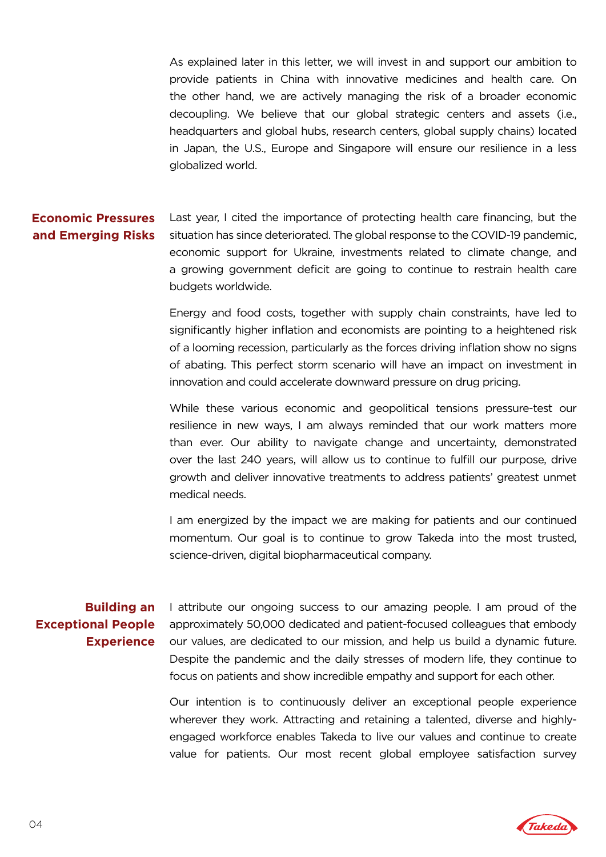As explained later in this letter, we will invest in and support our ambition to provide patients in China with innovative medicines and health care. On the other hand, we are actively managing the risk of a broader economic decoupling. We believe that our global strategic centers and assets (i.e., headquarters and global hubs, research centers, global supply chains) located in Japan, the U.S., Europe and Singapore will ensure our resilience in a less globalized world.

### Last year, I cited the importance of protecting health care financing, but the situation has since deteriorated. The global response to the COVID-19 pandemic, economic support for Ukraine, investments related to climate change, and a growing government deficit are going to continue to restrain health care budgets worldwide. **Economic Pressures and Emerging Risks**

Energy and food costs, together with supply chain constraints, have led to significantly higher inflation and economists are pointing to a heightened risk of a looming recession, particularly as the forces driving inflation show no signs of abating. This perfect storm scenario will have an impact on investment in innovation and could accelerate downward pressure on drug pricing.

While these various economic and geopolitical tensions pressure-test our resilience in new ways, I am always reminded that our work matters more than ever. Our ability to navigate change and uncertainty, demonstrated over the last 240 years, will allow us to continue to fulfill our purpose, drive growth and deliver innovative treatments to address patients' greatest unmet medical needs.

I am energized by the impact we are making for patients and our continued momentum. Our goal is to continue to grow Takeda into the most trusted, science-driven, digital biopharmaceutical company.

# **Building an Exceptional People Experience**

I attribute our ongoing success to our amazing people. I am proud of the approximately 50,000 dedicated and patient-focused colleagues that embody our values, are dedicated to our mission, and help us build a dynamic future. Despite the pandemic and the daily stresses of modern life, they continue to focus on patients and show incredible empathy and support for each other.

Our intention is to continuously deliver an exceptional people experience wherever they work. Attracting and retaining a talented, diverse and highlyengaged workforce enables Takeda to live our values and continue to create value for patients. Our most recent global employee satisfaction survey

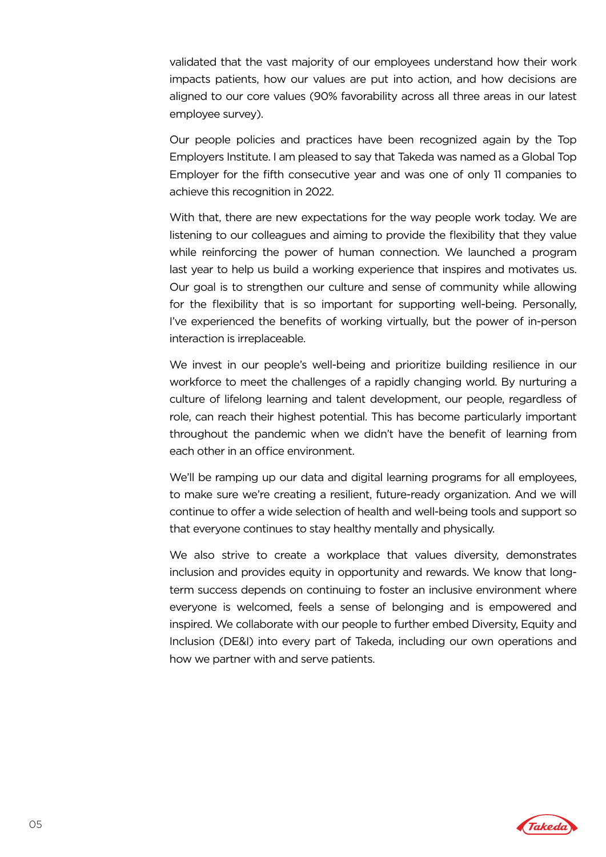validated that the vast majority of our employees understand how their work impacts patients, how our values are put into action, and how decisions are aligned to our core values (90% favorability across all three areas in our latest employee survey).

Our people policies and practices have been recognized again by the Top Employers Institute. I am pleased to say that Takeda was named as a Global Top Employer for the fifth consecutive year and was one of only 11 companies to achieve this recognition in 2022.

With that, there are new expectations for the way people work today. We are listening to our colleagues and aiming to provide the flexibility that they value while reinforcing the power of human connection. We launched a program last year to help us build a working experience that inspires and motivates us. Our goal is to strengthen our culture and sense of community while allowing for the flexibility that is so important for supporting well-being. Personally, I've experienced the benefits of working virtually, but the power of in-person interaction is irreplaceable.

We invest in our people's well-being and prioritize building resilience in our workforce to meet the challenges of a rapidly changing world. By nurturing a culture of lifelong learning and talent development, our people, regardless of role, can reach their highest potential. This has become particularly important throughout the pandemic when we didn't have the benefit of learning from each other in an office environment.

We'll be ramping up our data and digital learning programs for all employees, to make sure we're creating a resilient, future-ready organization. And we will continue to offer a wide selection of health and well-being tools and support so that everyone continues to stay healthy mentally and physically.

We also strive to create a workplace that values diversity, demonstrates inclusion and provides equity in opportunity and rewards. We know that longterm success depends on continuing to foster an inclusive environment where everyone is welcomed, feels a sense of belonging and is empowered and inspired. We collaborate with our people to further embed Diversity, Equity and Inclusion (DE&I) into every part of Takeda, including our own operations and how we partner with and serve patients.

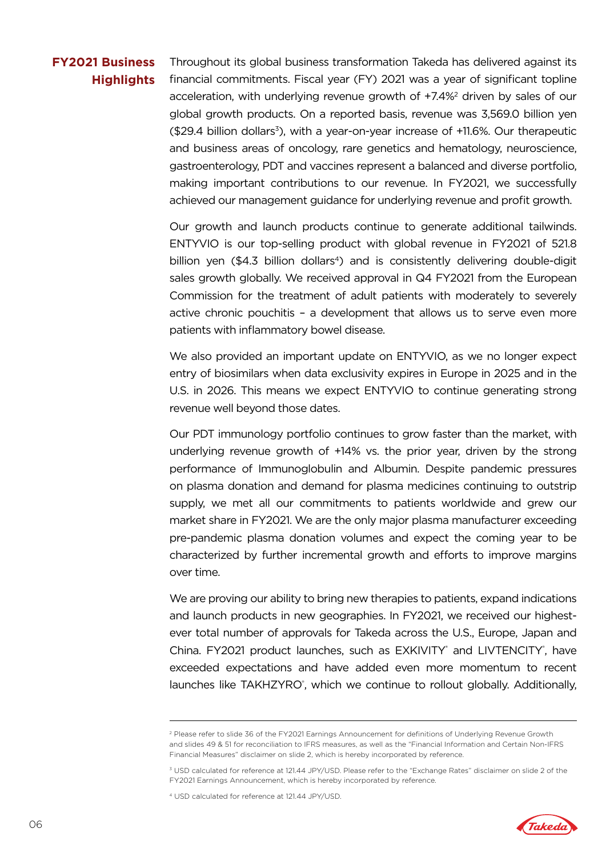# **FY2021 Business Highlights**

Throughout its global business transformation Takeda has delivered against its financial commitments. Fiscal year (FY) 2021 was a year of significant topline acceleration, with underlying revenue growth of +7.4%2 driven by sales of our global growth products. On a reported basis, revenue was 3,569.0 billion yen  $($29.4$$  billion dollars<sup>3</sup>), with a year-on-year increase of  $+11.6\%$ . Our therapeutic and business areas of oncology, rare genetics and hematology, neuroscience, gastroenterology, PDT and vaccines represent a balanced and diverse portfolio, making important contributions to our revenue. In FY2021, we successfully achieved our management guidance for underlying revenue and profit growth.

Our growth and launch products continue to generate additional tailwinds. ENTYVIO is our top-selling product with global revenue in FY2021 of 521.8 billion yen (\$4.3 billion dollars<sup>4</sup>) and is consistently delivering double-digit sales growth globally. We received approval in Q4 FY2021 from the European Commission for the treatment of adult patients with moderately to severely active chronic pouchitis – a development that allows us to serve even more patients with inflammatory bowel disease.

We also provided an important update on ENTYVIO, as we no longer expect entry of biosimilars when data exclusivity expires in Europe in 2025 and in the U.S. in 2026. This means we expect ENTYVIO to continue generating strong revenue well beyond those dates.

Our PDT immunology portfolio continues to grow faster than the market, with underlying revenue growth of +14% vs. the prior year, driven by the strong performance of Immunoglobulin and Albumin. Despite pandemic pressures on plasma donation and demand for plasma medicines continuing to outstrip supply, we met all our commitments to patients worldwide and grew our market share in FY2021. We are the only major plasma manufacturer exceeding pre-pandemic plasma donation volumes and expect the coming year to be characterized by further incremental growth and efforts to improve margins over time.

We are proving our ability to bring new therapies to patients, expand indications and launch products in new geographies. In FY2021, we received our highestever total number of approvals for Takeda across the U.S., Europe, Japan and China. FY2021 product launches, such as EXKIVITY® and LIVTENCITY®, have exceeded expectations and have added even more momentum to recent launches like TAKHZYRO<sup>®</sup>, which we continue to rollout globally. Additionally,



<sup>2</sup> Please refer to slide 36 of the FY2021 Earnings Announcement for definitions of Underlying Revenue Growth and slides 49 & 51 for reconciliation to IFRS measures, as well as the "Financial Information and Certain Non-IFRS Financial Measures" disclaimer on slide 2, which is hereby incorporated by reference.

<sup>3</sup> USD calculated for reference at 121.44 JPY/USD. Please refer to the "Exchange Rates" disclaimer on slide 2 of the FY2021 Earnings Announcement, which is hereby incorporated by reference.

<sup>4</sup> USD calculated for reference at 121.44 JPY/USD.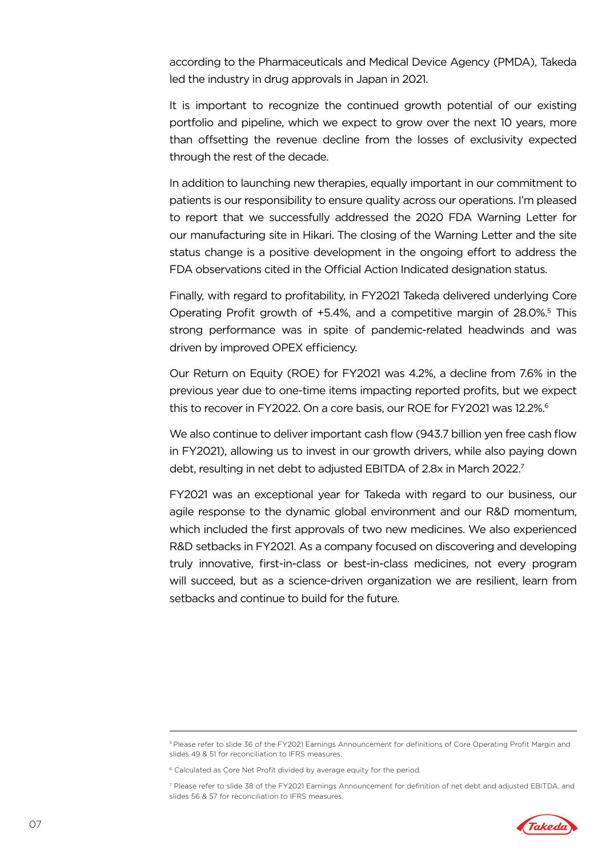according to the Pharmaceuticals and Medical Device Agency (PMDA), Takeda led the industry in drug approvals in Japan in 2021.

It is important to recognize the continued growth potential of our existing portfolio and pipeline, which we expect to grow over the next 10 years, more than offsetting the revenue decline from the losses of exclusivity expected through the rest of the decade.

In addition to launching new therapies, equally important in our commitment to patients is our responsibility to ensure quality across our operations. I'm pleased to report that we successfully addressed the 2020 FDA Warning Letter for our manufacturing site in Hikari. The closing of the Warning Letter and the site status change is a positive development in the ongoing effort to address the FDA observations cited in the Official Action Indicated designation status.

Finally, with regard to profitability, in FY2021 Takeda delivered underlying Core Operating Profit growth of +5.4%, and a competitive margin of 28.0%.<sup>5</sup> This strong performance was in spite of pandemic-related headwinds and was driven by improved OPEX efficiency.

Our Return on Equity (ROE) for FY2021 was 4.2%, a decline from 7.6% in the previous year due to one-time items impacting reported profits, but we expect this to recover in FY2022. On a core basis, our ROE for FY2021 was 12.2%.<sup>6</sup>

We also continue to deliver important cash flow (943.7 billion yen free cash flow in FY2021), allowing us to invest in our growth drivers, while also paying down debt, resulting in net debt to adjusted EBITDA of 2.8x in March 2022.<sup>7</sup>

FY2021 was an exceptional year for Takeda with regard to our business, our agile response to the dynamic global environment and our R&D momentum, which included the first approvals of two new medicines. We also experienced R&D setbacks in FY2021. As a company focused on discovering and developing truly innovative, first-in-class or best-in-class medicines, not every program will succeed, but as a science-driven organization we are resilient, learn from setbacks and continue to build for the future.

<sup>7</sup> Please refer to slide 38 of the FY2021 Earnings Announcement for definition of net debt and adjusted EBITDA, and slides 56 & 57 for reconciliation to IFRS measures.



<sup>5</sup> Please refer to slide 36 of the FY2021 Earnings Announcement for definitions of Core Operating Profit Margin and slides 49 & 51 for reconciliation to IFRS measures.

<sup>&</sup>lt;sup>6</sup> Calculated as Core Net Profit divided by average equity for the period.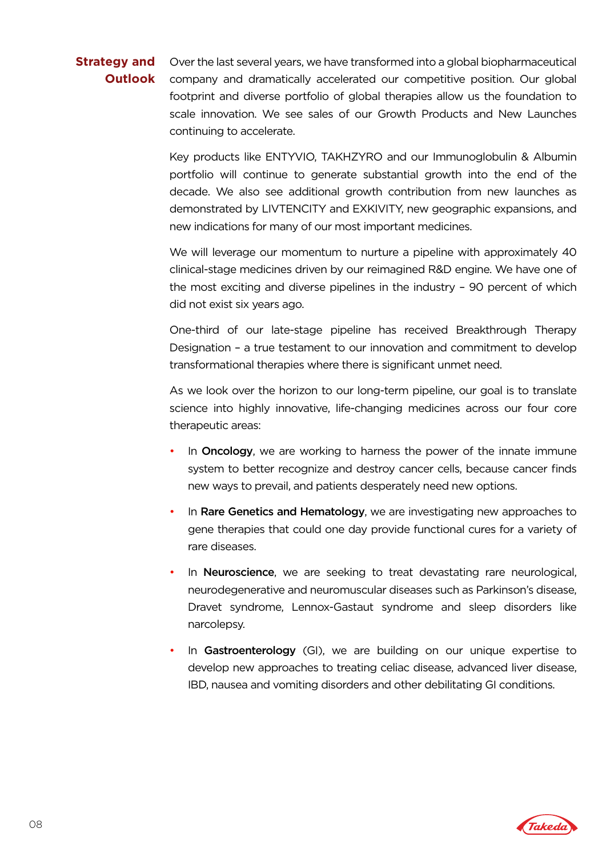### Over the last several years, we have transformed into a global biopharmaceutical company and dramatically accelerated our competitive position. Our global footprint and diverse portfolio of global therapies allow us the foundation to scale innovation. We see sales of our Growth Products and New Launches continuing to accelerate. **Strategy and Outlook**

Key products like ENTYVIO, TAKHZYRO and our Immunoglobulin & Albumin portfolio will continue to generate substantial growth into the end of the decade. We also see additional growth contribution from new launches as demonstrated by LIVTENCITY and EXKIVITY, new geographic expansions, and new indications for many of our most important medicines.

We will leverage our momentum to nurture a pipeline with approximately 40 clinical-stage medicines driven by our reimagined R&D engine. We have one of the most exciting and diverse pipelines in the industry – 90 percent of which did not exist six years ago.

One-third of our late-stage pipeline has received Breakthrough Therapy Designation – a true testament to our innovation and commitment to develop transformational therapies where there is significant unmet need.

As we look over the horizon to our long-term pipeline, our goal is to translate science into highly innovative, life-changing medicines across our four core therapeutic areas:

- In **Oncology**, we are working to harness the power of the innate immune system to better recognize and destroy cancer cells, because cancer finds new ways to prevail, and patients desperately need new options.
- In Rare Genetics and Hematology, we are investigating new approaches to gene therapies that could one day provide functional cures for a variety of rare diseases.
- In Neuroscience, we are seeking to treat devastating rare neurological, neurodegenerative and neuromuscular diseases such as Parkinson's disease, Dravet syndrome, Lennox-Gastaut syndrome and sleep disorders like narcolepsy.
- In Gastroenterology (GI), we are building on our unique expertise to develop new approaches to treating celiac disease, advanced liver disease, IBD, nausea and vomiting disorders and other debilitating GI conditions.

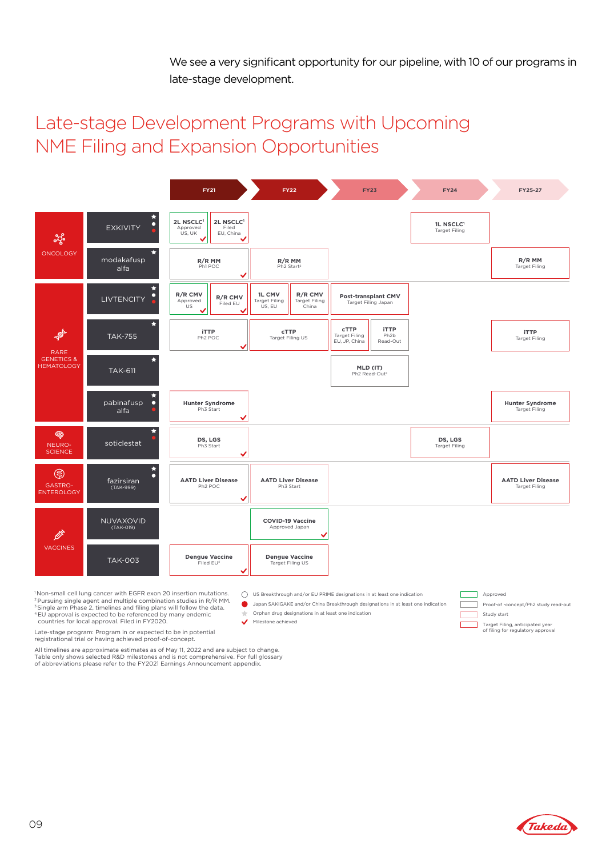We see a very significant opportunity for our pipeline, with 10 of our programs in late-stage development.

# Late-stage Development Programs with Upcoming NME Filing and Expansion Opportunities

|                                                           |                                                 | <b>FY21</b>                                                        | <b>FY22</b>                                                                          | <b>FY23</b>                                                                                          | <b>FY24</b>                                   | FY25-27                                           |
|-----------------------------------------------------------|-------------------------------------------------|--------------------------------------------------------------------|--------------------------------------------------------------------------------------|------------------------------------------------------------------------------------------------------|-----------------------------------------------|---------------------------------------------------|
| ಕ್ಯೆ<br><b>ONCOLOGY</b>                                   | ÷<br>$\bullet$<br><b>EXKIVITY</b>               | 2L NSCLC1<br>2L NSCLC1<br>Approved<br>Filed<br>US, UK<br>EU, China |                                                                                      |                                                                                                      | 1L NSCLC <sup>1</sup><br><b>Target Filing</b> |                                                   |
|                                                           | modakafusp<br>alfa                              | R/R MM<br>Ph1 POC                                                  | R/R MM<br>Ph2 Start <sup>2</sup>                                                     |                                                                                                      |                                               | R/R MM<br><b>Target Filing</b>                    |
|                                                           | ÷<br>$\bullet$<br><b>LIVTENCITY</b>             | R/R CMV<br>R/R CMV<br>Approved<br>Filed EU<br>US.                  | R/R CMV<br><b>1L CMV</b><br><b>Target Filing</b><br>Target Filing<br>US, EU<br>China | Post-transplant CMV<br>Target Filing Japan                                                           |                                               |                                                   |
| <b>AND</b>                                                | - 7<br><b>TAK-755</b>                           | <b>iTTP</b><br>Ph <sub>2</sub> POC                                 | <b>CTTP</b><br>Target Filing US                                                      | <b>CTTP</b><br><b>iTTP</b><br><b>Target Filing</b><br>Ph <sub>2</sub> b<br>EU, JP, China<br>Read-Out |                                               | <b>iTTP</b><br><b>Target Filing</b>               |
| <b>RARE</b><br><b>GENETICS &amp;</b><br><b>HEMATOLOGY</b> | $\star$<br><b>TAK-611</b>                       |                                                                    |                                                                                      | MLD (IT)<br>Ph2 Read-Out <sup>3</sup>                                                                |                                               |                                                   |
|                                                           | $\bullet$<br>pabinafusp<br>alfa                 | <b>Hunter Syndrome</b><br>Ph3 Start<br>w                           |                                                                                      |                                                                                                      |                                               | <b>Hunter Syndrome</b><br><b>Target Filing</b>    |
| ❀<br>NEURO-<br><b>SCIENCE</b>                             | $\star$<br>soticlestat                          | DS, LGS<br>Ph3 Start<br>$\checkmark$                               |                                                                                      |                                                                                                      | DS, LGS<br><b>Target Filing</b>               |                                                   |
| ⊜<br>GASTRO-<br><b>ENTEROLOGY</b>                         | $\star$<br>$\bullet$<br>fazirsiran<br>(TAK-999) | <b>AATD Liver Disease</b><br>Ph <sub>2</sub> POC<br>v              | <b>AATD Liver Disease</b><br>Ph3 Start                                               |                                                                                                      |                                               | <b>AATD Liver Disease</b><br><b>Target Filing</b> |
| <b>EXT</b><br><b>VACCINES</b>                             | NUVAXOVID<br>(TAK-019)                          |                                                                    | <b>COVID-19 Vaccine</b><br>Approved Japan                                            |                                                                                                      |                                               |                                                   |
|                                                           | <b>TAK-003</b>                                  | <b>Dengue Vaccine</b><br>Filed EU <sup>4</sup>                     | <b>Dengue Vaccine</b><br>Target Filing US                                            |                                                                                                      |                                               |                                                   |

 $\bigcirc$  US Breakthrough and/or EU PRIME designations in at least one indication Japan SAKIGAKE and/or China Breakthrough designations in at least one indication

Milestone achieved<br>
Target Filing, anticipated year
Target Filing, anticipated year
of filing for regulatory approval

Approved

┑ г Г

Study start

Proof-of -concept/Ph2 study read-out

Orphan drug designations in at least one indication

"Non-small cell lung cancer with EGFR exon 20 insertion mutations.<br><sup>2</sup> Pursuing single agent and multiple combination studies in R/R MM.<br><sup>3</sup> Single arm Phase 2, timelines and filing plans will follow the data.<br><sup>4</sup> EU appro

countries for local approval. Filed in FY2020.

Late-stage program: Program in or expected to be in potential registrational trial or having achieved proof-of-concept.

All timelines are approximate estimates as of May 11, 2022 and are subject to change. Table only shows selected R&D milestones and is not comprehensive. For full glossary of abbreviations please refer to the FY2021 Earnings Announcement appendix.

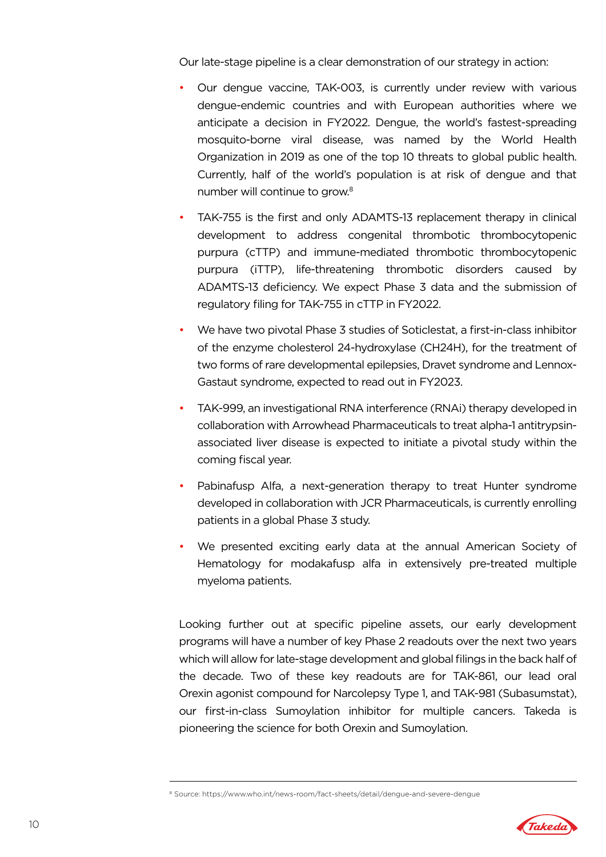Our late-stage pipeline is a clear demonstration of our strategy in action:

- Our dengue vaccine, TAK-003, is currently under review with various dengue-endemic countries and with European authorities where we anticipate a decision in FY2022. Dengue, the world's fastest-spreading mosquito-borne viral disease, was named by the World Health Organization in 2019 as one of the top 10 threats to global public health. Currently, half of the world's population is at risk of dengue and that number will continue to grow.<sup>8</sup>
- TAK-755 is the first and only ADAMTS-13 replacement therapy in clinical development to address congenital thrombotic thrombocytopenic purpura (cTTP) and immune-mediated thrombotic thrombocytopenic purpura (iTTP), life-threatening thrombotic disorders caused by ADAMTS-13 deficiency. We expect Phase 3 data and the submission of regulatory filing for TAK-755 in cTTP in FY2022.
- We have two pivotal Phase 3 studies of Soticlestat, a first-in-class inhibitor of the enzyme cholesterol 24-hydroxylase (CH24H), for the treatment of two forms of rare developmental epilepsies, Dravet syndrome and Lennox-Gastaut syndrome, expected to read out in FY2023.
- TAK-999, an investigational RNA interference (RNAi) therapy developed in collaboration with Arrowhead Pharmaceuticals to treat alpha-1 antitrypsinassociated liver disease is expected to initiate a pivotal study within the coming fiscal year.
- Pabinafusp Alfa, a next-generation therapy to treat Hunter syndrome developed in collaboration with JCR Pharmaceuticals, is currently enrolling patients in a global Phase 3 study.
- We presented exciting early data at the annual American Society of Hematology for modakafusp alfa in extensively pre-treated multiple myeloma patients.

Looking further out at specific pipeline assets, our early development programs will have a number of key Phase 2 readouts over the next two years which will allow for late-stage development and global filings in the back half of the decade. Two of these key readouts are for TAK-861, our lead oral Orexin agonist compound for Narcolepsy Type 1, and TAK-981 (Subasumstat), our first-in-class Sumoylation inhibitor for multiple cancers. Takeda is pioneering the science for both Orexin and Sumoylation.

<sup>&</sup>lt;sup>8</sup> Source: https://www.who.int/news-room/fact-sheets/detail/dengue-and-severe-dengue

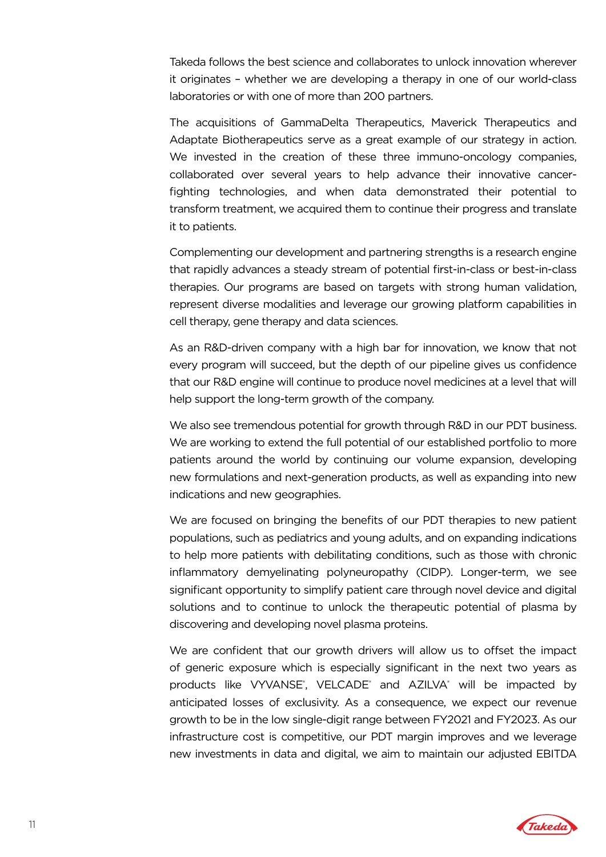Takeda follows the best science and collaborates to unlock innovation wherever it originates – whether we are developing a therapy in one of our world-class laboratories or with one of more than 200 partners.

The acquisitions of GammaDelta Therapeutics, Maverick Therapeutics and Adaptate Biotherapeutics serve as a great example of our strategy in action. We invested in the creation of these three immuno-oncology companies, collaborated over several years to help advance their innovative cancerfighting technologies, and when data demonstrated their potential to transform treatment, we acquired them to continue their progress and translate it to patients.

Complementing our development and partnering strengths is a research engine that rapidly advances a steady stream of potential first-in-class or best-in-class therapies. Our programs are based on targets with strong human validation, represent diverse modalities and leverage our growing platform capabilities in cell therapy, gene therapy and data sciences.

As an R&D-driven company with a high bar for innovation, we know that not every program will succeed, but the depth of our pipeline gives us confidence that our R&D engine will continue to produce novel medicines at a level that will help support the long-term growth of the company.

We also see tremendous potential for growth through R&D in our PDT business. We are working to extend the full potential of our established portfolio to more patients around the world by continuing our volume expansion, developing new formulations and next-generation products, as well as expanding into new indications and new geographies.

We are focused on bringing the benefits of our PDT therapies to new patient populations, such as pediatrics and young adults, and on expanding indications to help more patients with debilitating conditions, such as those with chronic inflammatory demyelinating polyneuropathy (CIDP). Longer-term, we see significant opportunity to simplify patient care through novel device and digital solutions and to continue to unlock the therapeutic potential of plasma by discovering and developing novel plasma proteins.

We are confident that our growth drivers will allow us to offset the impact of generic exposure which is especially significant in the next two years as products like VYVANSE<sup>®</sup>, VELCADE<sup>®</sup> and AZILVA<sup>®</sup> will be impacted by anticipated losses of exclusivity. As a consequence, we expect our revenue growth to be in the low single-digit range between FY2021 and FY2023. As our infrastructure cost is competitive, our PDT margin improves and we leverage new investments in data and digital, we aim to maintain our adjusted EBITDA

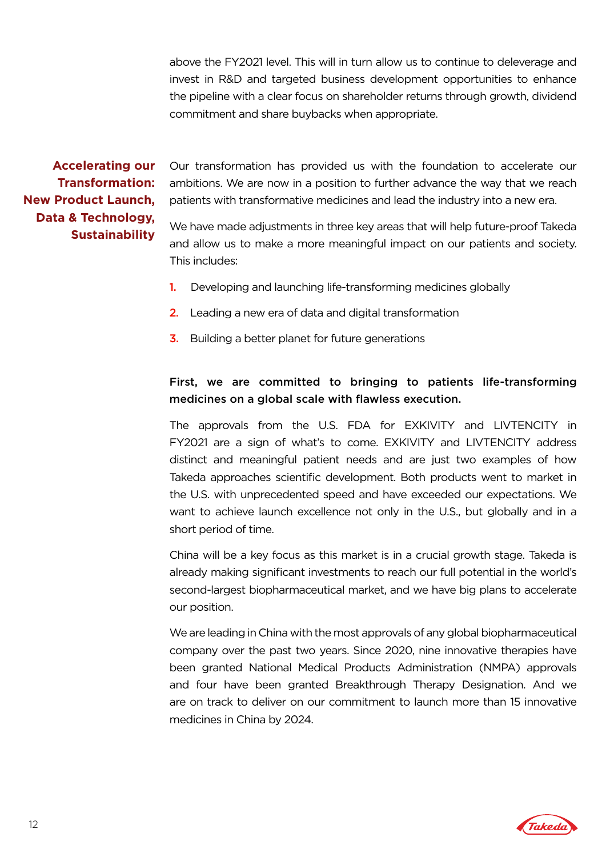above the FY2021 level. This will in turn allow us to continue to deleverage and invest in R&D and targeted business development opportunities to enhance the pipeline with a clear focus on shareholder returns through growth, dividend commitment and share buybacks when appropriate.

**Accelerating our Transformation: New Product Launch, Data & Technology, Sustainability** 

Our transformation has provided us with the foundation to accelerate our ambitions. We are now in a position to further advance the way that we reach patients with transformative medicines and lead the industry into a new era.

We have made adjustments in three key areas that will help future-proof Takeda and allow us to make a more meaningful impact on our patients and society. This includes:

- 1. Developing and launching life-transforming medicines globally
- 2. Leading a new era of data and digital transformation
- **3.** Building a better planet for future generations

# First, we are committed to bringing to patients life-transforming medicines on a global scale with flawless execution.

The approvals from the U.S. FDA for EXKIVITY and LIVTENCITY in FY2021 are a sign of what's to come. EXKIVITY and LIVTENCITY address distinct and meaningful patient needs and are just two examples of how Takeda approaches scientific development. Both products went to market in the U.S. with unprecedented speed and have exceeded our expectations. We want to achieve launch excellence not only in the U.S., but globally and in a short period of time.

China will be a key focus as this market is in a crucial growth stage. Takeda is already making significant investments to reach our full potential in the world's second-largest biopharmaceutical market, and we have big plans to accelerate our position.

We are leading in China with the most approvals of any global biopharmaceutical company over the past two years. Since 2020, nine innovative therapies have been granted National Medical Products Administration (NMPA) approvals and four have been granted Breakthrough Therapy Designation. And we are on track to deliver on our commitment to launch more than 15 innovative medicines in China by 2024.

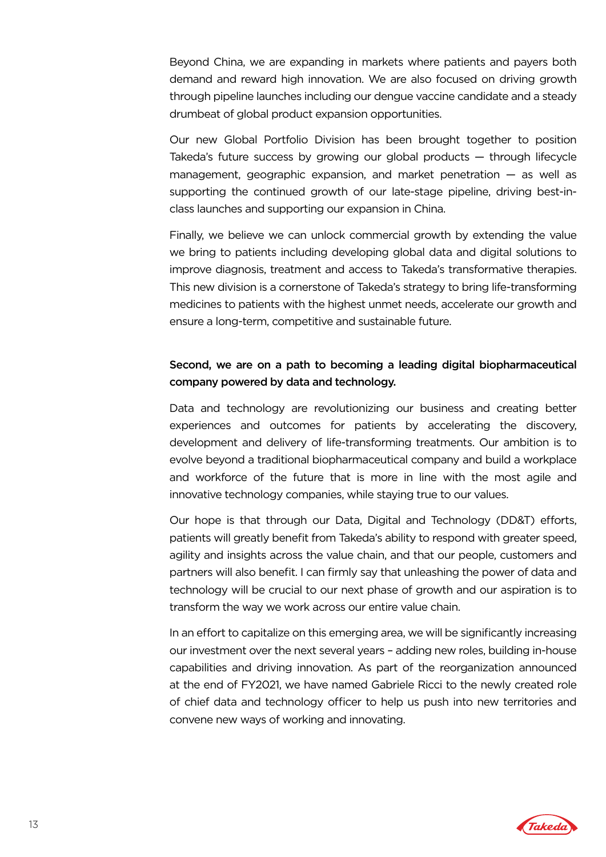Beyond China, we are expanding in markets where patients and payers both demand and reward high innovation. We are also focused on driving growth through pipeline launches including our dengue vaccine candidate and a steady drumbeat of global product expansion opportunities.

Our new Global Portfolio Division has been brought together to position Takeda's future success by growing our global products — through lifecycle management, geographic expansion, and market penetration — as well as supporting the continued growth of our late-stage pipeline, driving best-inclass launches and supporting our expansion in China.

Finally, we believe we can unlock commercial growth by extending the value we bring to patients including developing global data and digital solutions to improve diagnosis, treatment and access to Takeda's transformative therapies. This new division is a cornerstone of Takeda's strategy to bring life-transforming medicines to patients with the highest unmet needs, accelerate our growth and ensure a long-term, competitive and sustainable future.

# Second, we are on a path to becoming a leading digital biopharmaceutical company powered by data and technology.

Data and technology are revolutionizing our business and creating better experiences and outcomes for patients by accelerating the discovery, development and delivery of life-transforming treatments. Our ambition is to evolve beyond a traditional biopharmaceutical company and build a workplace and workforce of the future that is more in line with the most agile and innovative technology companies, while staying true to our values.

Our hope is that through our Data, Digital and Technology (DD&T) efforts, patients will greatly benefit from Takeda's ability to respond with greater speed, agility and insights across the value chain, and that our people, customers and partners will also benefit. I can firmly say that unleashing the power of data and technology will be crucial to our next phase of growth and our aspiration is to transform the way we work across our entire value chain.

In an effort to capitalize on this emerging area, we will be significantly increasing our investment over the next several years – adding new roles, building in-house capabilities and driving innovation. As part of the reorganization announced at the end of FY2021, we have named Gabriele Ricci to the newly created role of chief data and technology officer to help us push into new territories and convene new ways of working and innovating.

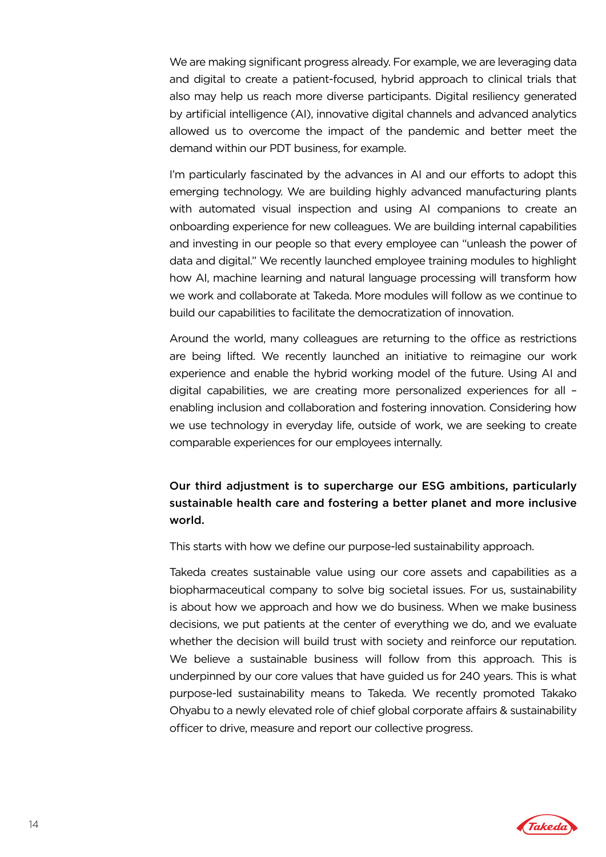We are making significant progress already. For example, we are leveraging data and digital to create a patient-focused, hybrid approach to clinical trials that also may help us reach more diverse participants. Digital resiliency generated by artificial intelligence (AI), innovative digital channels and advanced analytics allowed us to overcome the impact of the pandemic and better meet the demand within our PDT business, for example.

I'm particularly fascinated by the advances in AI and our efforts to adopt this emerging technology. We are building highly advanced manufacturing plants with automated visual inspection and using AI companions to create an onboarding experience for new colleagues. We are building internal capabilities and investing in our people so that every employee can "unleash the power of data and digital." We recently launched employee training modules to highlight how AI, machine learning and natural language processing will transform how we work and collaborate at Takeda. More modules will follow as we continue to build our capabilities to facilitate the democratization of innovation.

Around the world, many colleagues are returning to the office as restrictions are being lifted. We recently launched an initiative to reimagine our work experience and enable the hybrid working model of the future. Using AI and digital capabilities, we are creating more personalized experiences for all – enabling inclusion and collaboration and fostering innovation. Considering how we use technology in everyday life, outside of work, we are seeking to create comparable experiences for our employees internally.

# Our third adjustment is to supercharge our ESG ambitions, particularly sustainable health care and fostering a better planet and more inclusive world.

This starts with how we define our purpose-led sustainability approach.

Takeda creates sustainable value using our core assets and capabilities as a biopharmaceutical company to solve big societal issues. For us, sustainability is about how we approach and how we do business. When we make business decisions, we put patients at the center of everything we do, and we evaluate whether the decision will build trust with society and reinforce our reputation. We believe a sustainable business will follow from this approach. This is underpinned by our core values that have guided us for 240 years. This is what purpose-led sustainability means to Takeda. We recently promoted Takako Ohyabu to a newly elevated role of chief global corporate affairs & sustainability officer to drive, measure and report our collective progress.

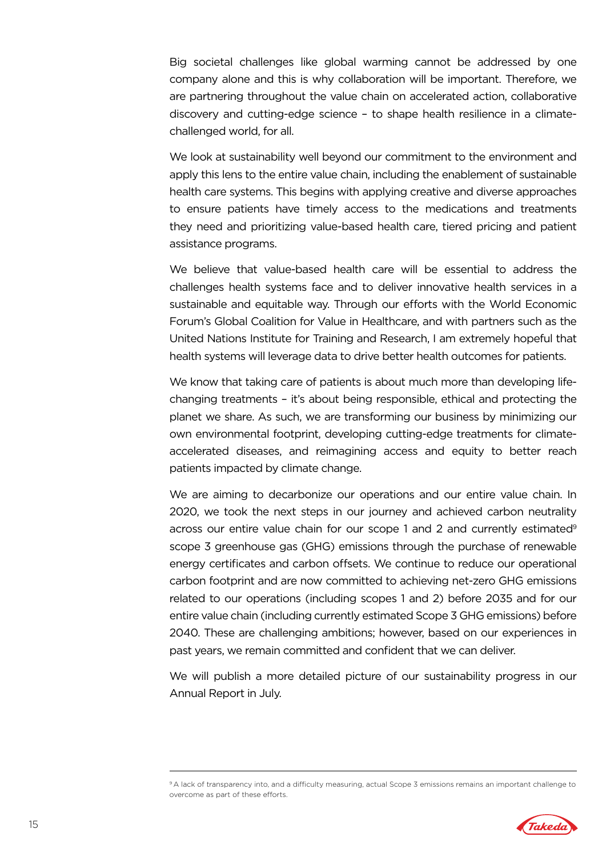Big societal challenges like global warming cannot be addressed by one company alone and this is why collaboration will be important. Therefore, we are partnering throughout the value chain on accelerated action, collaborative discovery and cutting-edge science – to shape health resilience in a climatechallenged world, for all.

We look at sustainability well beyond our commitment to the environment and apply this lens to the entire value chain, including the enablement of sustainable health care systems. This begins with applying creative and diverse approaches to ensure patients have timely access to the medications and treatments they need and prioritizing value-based health care, tiered pricing and patient assistance programs.

We believe that value-based health care will be essential to address the challenges health systems face and to deliver innovative health services in a sustainable and equitable way. Through our efforts with the World Economic Forum's Global Coalition for Value in Healthcare, and with partners such as the United Nations Institute for Training and Research, I am extremely hopeful that health systems will leverage data to drive better health outcomes for patients.

We know that taking care of patients is about much more than developing lifechanging treatments – it's about being responsible, ethical and protecting the planet we share. As such, we are transforming our business by minimizing our own environmental footprint, developing cutting-edge treatments for climateaccelerated diseases, and reimagining access and equity to better reach patients impacted by climate change.

We are aiming to decarbonize our operations and our entire value chain. In 2020, we took the next steps in our journey and achieved carbon neutrality across our entire value chain for our scope 1 and 2 and currently estimated<sup>9</sup> scope 3 greenhouse gas (GHG) emissions through the purchase of renewable energy certificates and carbon offsets. We continue to reduce our operational carbon footprint and are now committed to achieving net-zero GHG emissions related to our operations (including scopes 1 and 2) before 2035 and for our entire value chain (including currently estimated Scope 3 GHG emissions) before 2040. These are challenging ambitions; however, based on our experiences in past years, we remain committed and confident that we can deliver.

We will publish a more detailed picture of our sustainability progress in our Annual Report in July.

<sup>9</sup> A lack of transparency into, and a difficulty measuring, actual Scope 3 emissions remains an important challenge to overcome as part of these efforts.

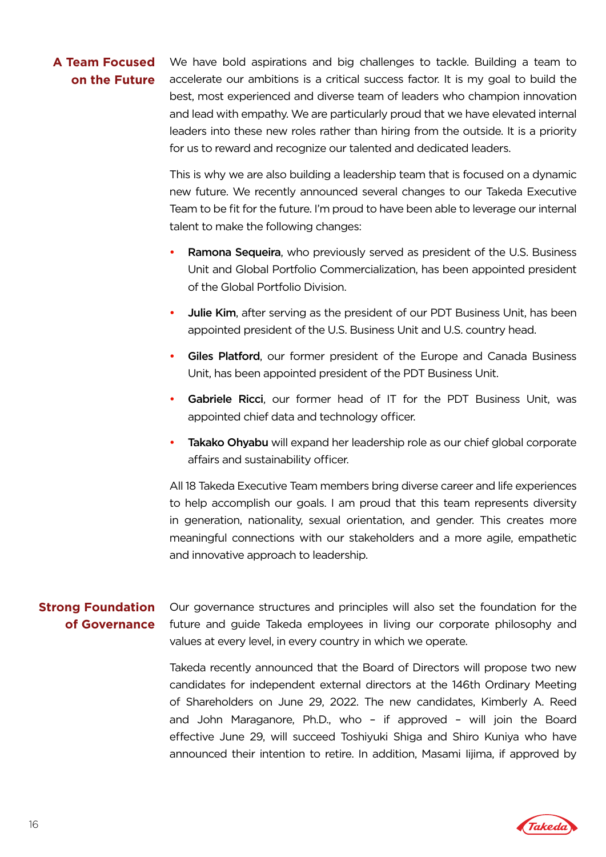# **A Team Focused on the Future**

We have bold aspirations and big challenges to tackle. Building a team to accelerate our ambitions is a critical success factor. It is my goal to build the best, most experienced and diverse team of leaders who champion innovation and lead with empathy. We are particularly proud that we have elevated internal leaders into these new roles rather than hiring from the outside. It is a priority for us to reward and recognize our talented and dedicated leaders.

This is why we are also building a leadership team that is focused on a dynamic new future. We recently announced several changes to our Takeda Executive Team to be fit for the future. I'm proud to have been able to leverage our internal talent to make the following changes:

- Ramona Sequeira, who previously served as president of the U.S. Business Unit and Global Portfolio Commercialization, has been appointed president of the Global Portfolio Division.
- Julie Kim, after serving as the president of our PDT Business Unit, has been appointed president of the U.S. Business Unit and U.S. country head.
- Giles Platford, our former president of the Europe and Canada Business Unit, has been appointed president of the PDT Business Unit.
- Gabriele Ricci, our former head of IT for the PDT Business Unit, was appointed chief data and technology officer.
- Takako Ohyabu will expand her leadership role as our chief global corporate affairs and sustainability officer.

All 18 Takeda Executive Team members bring diverse career and life experiences to help accomplish our goals. I am proud that this team represents diversity in generation, nationality, sexual orientation, and gender. This creates more meaningful connections with our stakeholders and a more agile, empathetic and innovative approach to leadership.

# **Strong Foundation of Governance**

Our governance structures and principles will also set the foundation for the future and guide Takeda employees in living our corporate philosophy and values at every level, in every country in which we operate.

Takeda recently announced that the Board of Directors will propose two new candidates for independent external directors at the 146th Ordinary Meeting of Shareholders on June 29, 2022. The new candidates, Kimberly A. Reed and John Maraganore, Ph.D., who – if approved – will join the Board effective June 29, will succeed Toshiyuki Shiga and Shiro Kuniya who have announced their intention to retire. In addition, Masami Iijima, if approved by

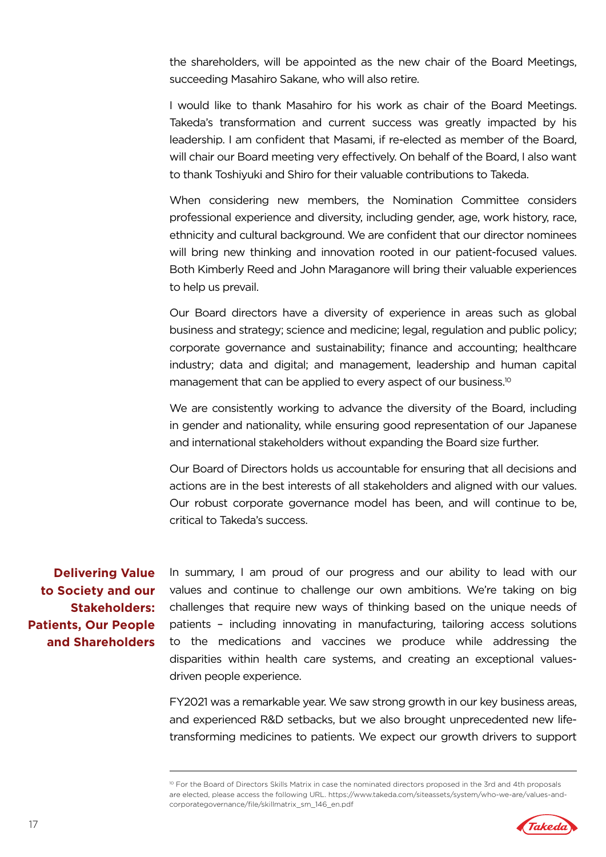the shareholders, will be appointed as the new chair of the Board Meetings, succeeding Masahiro Sakane, who will also retire.

I would like to thank Masahiro for his work as chair of the Board Meetings. Takeda's transformation and current success was greatly impacted by his leadership. I am confident that Masami, if re-elected as member of the Board, will chair our Board meeting very effectively. On behalf of the Board, I also want to thank Toshiyuki and Shiro for their valuable contributions to Takeda.

When considering new members, the Nomination Committee considers professional experience and diversity, including gender, age, work history, race, ethnicity and cultural background. We are confident that our director nominees will bring new thinking and innovation rooted in our patient-focused values. Both Kimberly Reed and John Maraganore will bring their valuable experiences to help us prevail.

Our Board directors have a diversity of experience in areas such as global business and strategy; science and medicine; legal, regulation and public policy; corporate governance and sustainability; finance and accounting; healthcare industry; data and digital; and management, leadership and human capital management that can be applied to every aspect of our business.<sup>10</sup>

We are consistently working to advance the diversity of the Board, including in gender and nationality, while ensuring good representation of our Japanese and international stakeholders without expanding the Board size further.

Our Board of Directors holds us accountable for ensuring that all decisions and actions are in the best interests of all stakeholders and aligned with our values. Our robust corporate governance model has been, and will continue to be, critical to Takeda's success.

**Delivering Value to Society and our Stakeholders: Patients, Our People and Shareholders** In summary, I am proud of our progress and our ability to lead with our values and continue to challenge our own ambitions. We're taking on big challenges that require new ways of thinking based on the unique needs of patients – including innovating in manufacturing, tailoring access solutions to the medications and vaccines we produce while addressing the disparities within health care systems, and creating an exceptional valuesdriven people experience.

FY2021 was a remarkable year. We saw strong growth in our key business areas, and experienced R&D setbacks, but we also brought unprecedented new lifetransforming medicines to patients. We expect our growth drivers to support

<sup>10</sup> For the Board of Directors Skills Matrix in case the nominated directors proposed in the 3rd and 4th proposals are elected, please access the following URL. https://www.takeda.com/siteassets/system/who-we-are/values-andcorporategovernance/file/skillmatrix\_sm\_146\_en.pdf